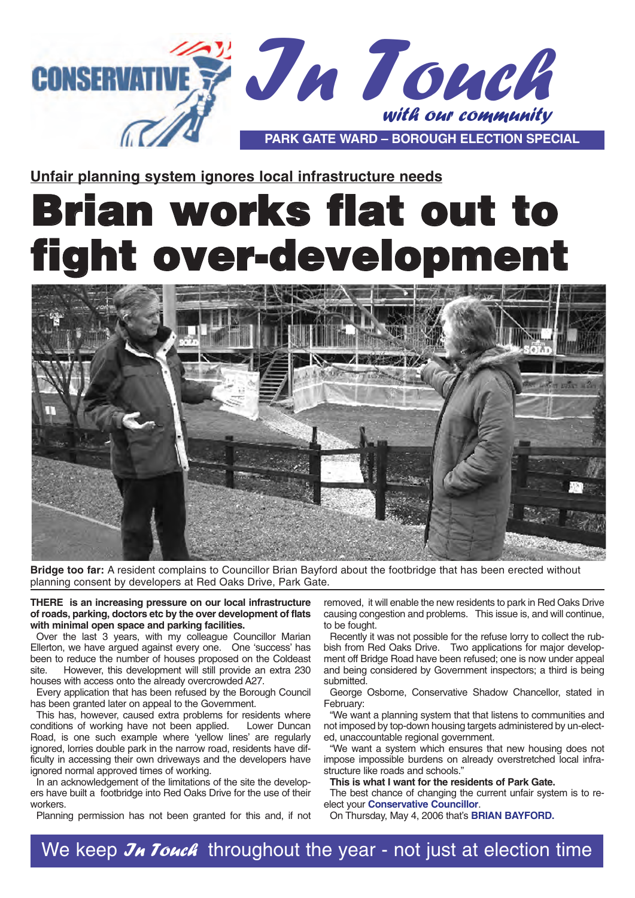

**Unfair planning system ignores local infrastructure needs**

# Brian works flat out to ht over-development



**Bridge too far:** A resident complains to Councillor Brian Bayford about the footbridge that has been erected without planning consent by developers at Red Oaks Drive, Park Gate.

**THERE is an increasing pressure on our local infrastructure of roads, parking, doctors etc by the over development of flats with minimal open space and parking facilities.** 

Over the last 3 years, with my colleague Councillor Marian Ellerton, we have argued against every one. One 'success' has been to reduce the number of houses proposed on the Coldeast<br>site However, this development will still provide an extra 230 However, this development will still provide an extra 230 houses with access onto the already overcrowded A27.

Every application that has been refused by the Borough Council has been granted later on appeal to the Government.

This has, however, caused extra problems for residents where<br>onditions of working have not been applied. Lower Duncan conditions of working have not been applied. Road, is one such example where 'yellow lines' are regularly ignored, lorries double park in the narrow road, residents have difficulty in accessing their own driveways and the developers have ignored normal approved times of working.

In an acknowledgement of the limitations of the site the developers have built a footbridge into Red Oaks Drive for the use of their workers.

Planning permission has not been granted for this and, if not

removed, it will enable the new residents to park in Red Oaks Drive causing congestion and problems. This issue is, and will continue, to be fought.

Recently it was not possible for the refuse lorry to collect the rubbish from Red Oaks Drive. Two applications for major development off Bridge Road have been refused; one is now under appeal and being considered by Government inspectors; a third is being submitted.

George Osborne, Conservative Shadow Chancellor, stated in February:

"We want a planning system that that listens to communities and not imposed by top-down housing targets administered by un-elected, unaccountable regional government.

"We want a system which ensures that new housing does not impose impossible burdens on already overstretched local infrastructure like roads and schools."

**This is what I want for the residents of Park Gate.**

The best chance of changing the current unfair system is to reelect your **Conservative Councillor**.

On Thursday, May 4, 2006 that's **BRIAN BAYFORD.** 

We keep  $\mathcal{J}_H$  Touch throughout the year - not just at election time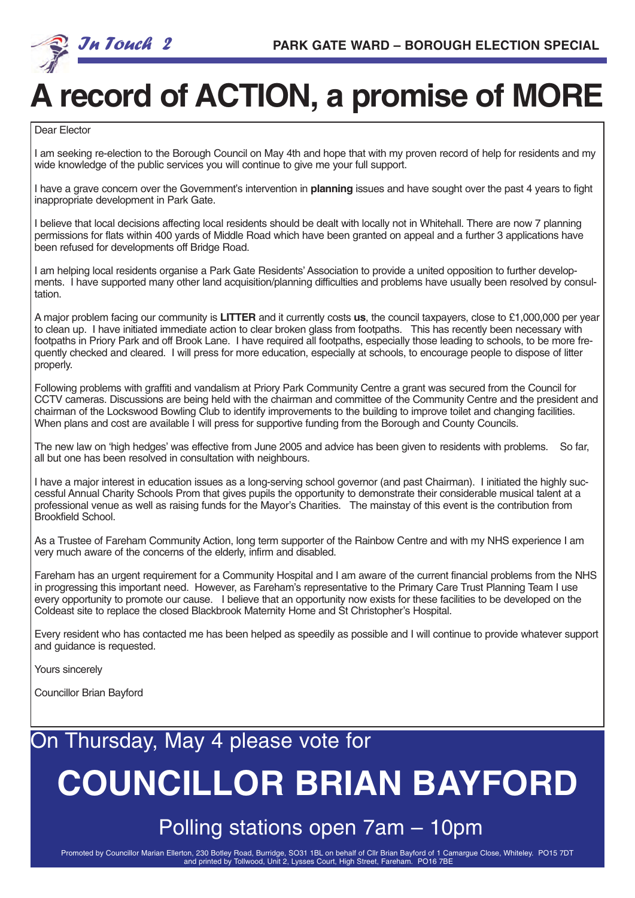

## **A record of ACTION, a promise of MORE**

Dear Elector

I am seeking re-election to the Borough Council on May 4th and hope that with my proven record of help for residents and my wide knowledge of the public services you will continue to give me your full support.

I have a grave concern over the Government's intervention in **planning** issues and have sought over the past 4 years to fight inappropriate development in Park Gate.

I believe that local decisions affecting local residents should be dealt with locally not in Whitehall. There are now 7 planning permissions for flats within 400 yards of Middle Road which have been granted on appeal and a further 3 applications have been refused for developments off Bridge Road.

I am helping local residents organise a Park Gate Residents'Association to provide a united opposition to further developments. I have supported many other land acquisition/planning difficulties and problems have usually been resolved by consultation.

A major problem facing our community is **LITTER** and it currently costs **us**, the council taxpayers, close to £1,000,000 per year to clean up. I have initiated immediate action to clear broken glass from footpaths. This has recently been necessary with footpaths in Priory Park and off Brook Lane. I have required all footpaths, especially those leading to schools, to be more frequently checked and cleared. I will press for more education, especially at schools, to encourage people to dispose of litter properly.

Following problems with graffiti and vandalism at Priory Park Community Centre a grant was secured from the Council for CCTV cameras. Discussions are being held with the chairman and committee of the Community Centre and the president and chairman of the Lockswood Bowling Club to identify improvements to the building to improve toilet and changing facilities. When plans and cost are available I will press for supportive funding from the Borough and County Councils.

The new law on 'high hedges' was effective from June 2005 and advice has been given to residents with problems. So far, all but one has been resolved in consultation with neighbours.

I have a major interest in education issues as a long-serving school governor (and past Chairman). I initiated the highly successful Annual Charity Schools Prom that gives pupils the opportunity to demonstrate their considerable musical talent at a professional venue as well as raising funds for the Mayor's Charities. The mainstay of this event is the contribution from Brookfield School.

As a Trustee of Fareham Community Action, long term supporter of the Rainbow Centre and with my NHS experience I am very much aware of the concerns of the elderly, infirm and disabled.

Fareham has an urgent requirement for a Community Hospital and I am aware of the current financial problems from the NHS in progressing this important need. However, as Fareham's representative to the Primary Care Trust Planning Team I use every opportunity to promote our cause. I believe that an opportunity now exists for these facilities to be developed on the Coldeast site to replace the closed Blackbrook Maternity Home and St Christopher's Hospital.

Every resident who has contacted me has been helped as speedily as possible and I will continue to provide whatever support and guidance is requested.

Yours sincerely

Councillor Brian Bayford

### On Thursday, May 4 please vote for

## **COUNCILLOR BRIAN BAYFORD**

Polling stations open 7am – 10pm

Promoted by Councillor Marian Ellerton, 230 Botley Road, Burridge, SO31 1BL on behalf of Cllr Brian Bayford of 1 Camargue Close, Whiteley. PO15 7DT and printed by Tollwood, Unit 2, Lysses Court, High Street, Fareham. PO16 7BE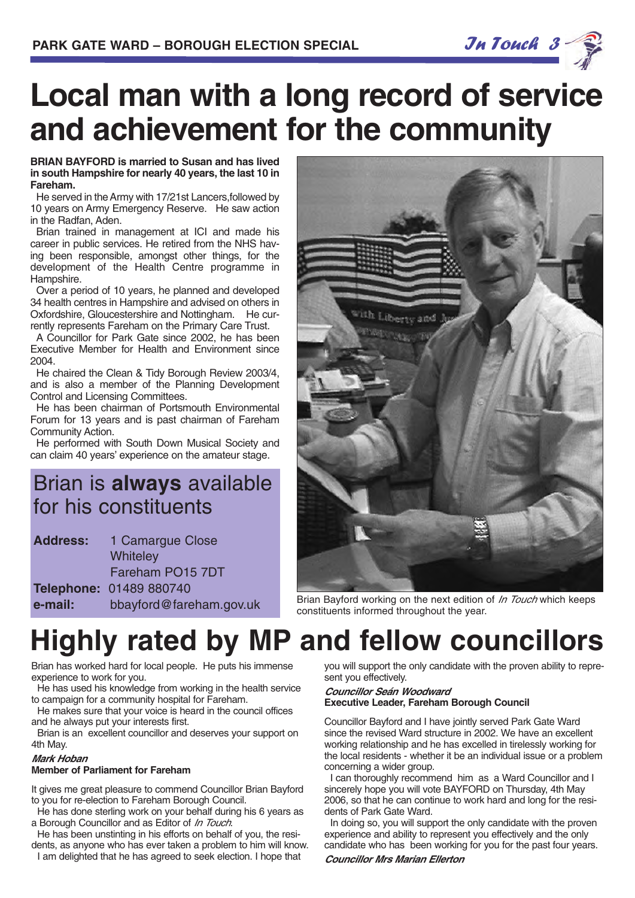

## **Local man with a long record of service and achievement for the community**

#### **BRIAN BAYFORD is married to Susan and has lived in south Hampshire for nearly 40 years, the last 10 in Fareham.**

He served in the Army with 17/21st Lancers,followed by 10 years on Army Emergency Reserve. He saw action in the Radfan, Aden.

Brian trained in management at ICI and made his career in public services. He retired from the NHS having been responsible, amongst other things, for the development of the Health Centre programme in Hampshire.

Over a period of 10 years, he planned and developed 34 health centres in Hampshire and advised on others in Oxfordshire, Gloucestershire and Nottingham. He currently represents Fareham on the Primary Care Trust.

A Councillor for Park Gate since 2002, he has been Executive Member for Health and Environment since 2004.

He chaired the Clean & Tidy Borough Review 2003/4, and is also a member of the Planning Development Control and Licensing Committees.

He has been chairman of Portsmouth Environmental Forum for 13 years and is past chairman of Fareham Community Action.

He performed with South Down Musical Society and can claim 40 years' experience on the amateur stage.

### Brian is **always** available for his constituents

| <b>Address:</b> | 1 Camargue Close        |
|-----------------|-------------------------|
|                 | Whiteley                |
|                 | Fareham PO15 7DT        |
|                 | Telephone: 01489 880740 |
| e-mail:         | bbayford@fareham.gov.uk |



Brian Bayford working on the next edition of In Touch which keeps constituents informed throughout the year.

## **Highly rated by MP and fellow councillors**

Brian has worked hard for local people. He puts his immense experience to work for you.

He has used his knowledge from working in the health service to campaign for a community hospital for Fareham.

He makes sure that your voice is heard in the council offices and he always put your interests first.

Brian is an excellent councillor and deserves your support on 4th May.

#### **Mark Hoban**

#### **Member of Parliament for Fareham**

It gives me great pleasure to commend Councillor Brian Bayford to you for re-election to Fareham Borough Council.

He has done sterling work on your behalf during his 6 years as a Borough Councillor and as Editor of In Touch.

He has been unstinting in his efforts on behalf of you, the residents, as anyone who has ever taken a problem to him will know.

I am delighted that he has agreed to seek election. I hope that

you will support the only candidate with the proven ability to represent you effectively.

#### **Councillor Seán Woodward Executive Leader, Fareham Borough Council**

Councillor Bayford and I have jointly served Park Gate Ward since the revised Ward structure in 2002. We have an excellent working relationship and he has excelled in tirelessly working for the local residents - whether it be an individual issue or a problem concerning a wider group.

I can thoroughly recommend him as a Ward Councillor and I sincerely hope you will vote BAYFORD on Thursday, 4th May 2006, so that he can continue to work hard and long for the residents of Park Gate Ward.

In doing so, you will support the only candidate with the proven experience and ability to represent you effectively and the only candidate who has been working for you for the past four years.

#### **Councillor Mrs Marian Ellerton**